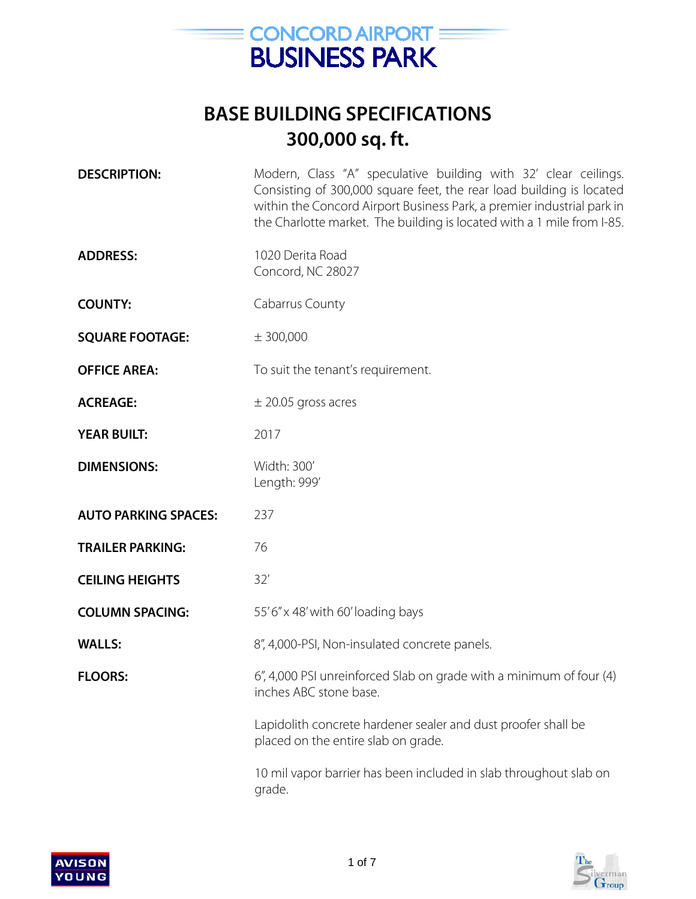

| <b>DESCRIPTION:</b>         | Modern, Class "A" speculative building with 32' clear ceilings.<br>Consisting of 300,000 square feet, the rear load building is located<br>within the Concord Airport Business Park, a premier industrial park in<br>the Charlotte market. The building is located with a 1 mile from I-85. |
|-----------------------------|---------------------------------------------------------------------------------------------------------------------------------------------------------------------------------------------------------------------------------------------------------------------------------------------|
| <b>ADDRESS:</b>             | 1020 Derita Road<br>Concord, NC 28027                                                                                                                                                                                                                                                       |
| <b>COUNTY:</b>              | Cabarrus County                                                                                                                                                                                                                                                                             |
| <b>SQUARE FOOTAGE:</b>      | $±$ 300,000                                                                                                                                                                                                                                                                                 |
| <b>OFFICE AREA:</b>         | To suit the tenant's requirement.                                                                                                                                                                                                                                                           |
| <b>ACREAGE:</b>             | $\pm$ 20.05 gross acres                                                                                                                                                                                                                                                                     |
| <b>YEAR BUILT:</b>          | 2017                                                                                                                                                                                                                                                                                        |
| <b>DIMENSIONS:</b>          | Width: 300'<br>Length: 999'                                                                                                                                                                                                                                                                 |
| <b>AUTO PARKING SPACES:</b> | 237                                                                                                                                                                                                                                                                                         |
| <b>TRAILER PARKING:</b>     | 76                                                                                                                                                                                                                                                                                          |
| <b>CEILING HEIGHTS</b>      | 32'                                                                                                                                                                                                                                                                                         |
| <b>COLUMN SPACING:</b>      | 55'6" x 48' with 60' loading bays                                                                                                                                                                                                                                                           |
| <b>WALLS:</b>               | 8", 4,000-PSI, Non-insulated concrete panels.                                                                                                                                                                                                                                               |
| <b>FLOORS:</b>              | 6", 4,000 PSI unreinforced Slab on grade with a minimum of four (4)<br>inches ABC stone base.                                                                                                                                                                                               |
|                             | Lapidolith concrete hardener sealer and dust proofer shall be<br>placed on the entire slab on grade.                                                                                                                                                                                        |
|                             | وبمتماح المتعبد والمستمعات والمام والمتماط والمستحول والمعا والمتعاون والمتحدون التمعين                                                                                                                                                                                                     |



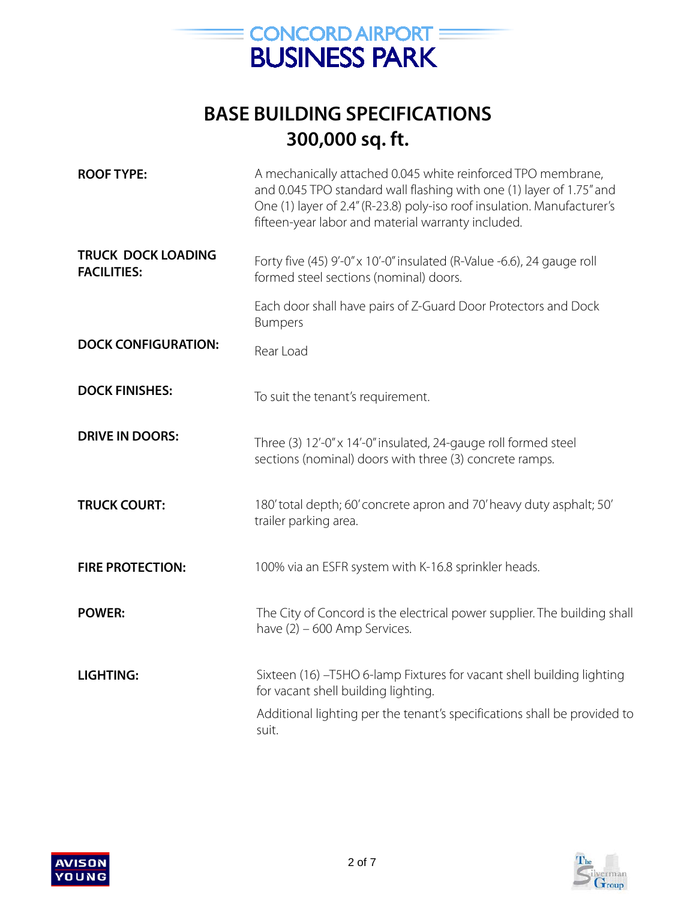

| <b>ROOF TYPE:</b>                               | A mechanically attached 0.045 white reinforced TPO membrane,<br>and 0.045 TPO standard wall flashing with one (1) layer of 1.75" and<br>One (1) layer of 2.4" (R-23.8) poly-iso roof insulation. Manufacturer's<br>fifteen-year labor and material warranty included. |
|-------------------------------------------------|-----------------------------------------------------------------------------------------------------------------------------------------------------------------------------------------------------------------------------------------------------------------------|
| <b>TRUCK DOCK LOADING</b><br><b>FACILITIES:</b> | Forty five (45) 9'-0" x 10'-0" insulated (R-Value -6.6), 24 gauge roll<br>formed steel sections (nominal) doors.                                                                                                                                                      |
|                                                 | Each door shall have pairs of Z-Guard Door Protectors and Dock<br><b>Bumpers</b>                                                                                                                                                                                      |
| <b>DOCK CONFIGURATION:</b>                      | Rear Load                                                                                                                                                                                                                                                             |
| <b>DOCK FINISHES:</b>                           | To suit the tenant's requirement.                                                                                                                                                                                                                                     |
| <b>DRIVE IN DOORS:</b>                          | Three (3) 12'-0" x 14'-0" insulated, 24-gauge roll formed steel<br>sections (nominal) doors with three (3) concrete ramps.                                                                                                                                            |
| <b>TRUCK COURT:</b>                             | 180' total depth; 60' concrete apron and 70' heavy duty asphalt; 50'<br>trailer parking area.                                                                                                                                                                         |
| <b>FIRE PROTECTION:</b>                         | 100% via an ESFR system with K-16.8 sprinkler heads.                                                                                                                                                                                                                  |
| <b>POWER:</b>                                   | The City of Concord is the electrical power supplier. The building shall<br>have $(2) - 600$ Amp Services.                                                                                                                                                            |
| <b>LIGHTING:</b>                                | Sixteen (16) -T5HO 6-lamp Fixtures for vacant shell building lighting<br>for vacant shell building lighting.                                                                                                                                                          |
|                                                 | Additional lighting per the tenant's specifications shall be provided to<br>suit.                                                                                                                                                                                     |

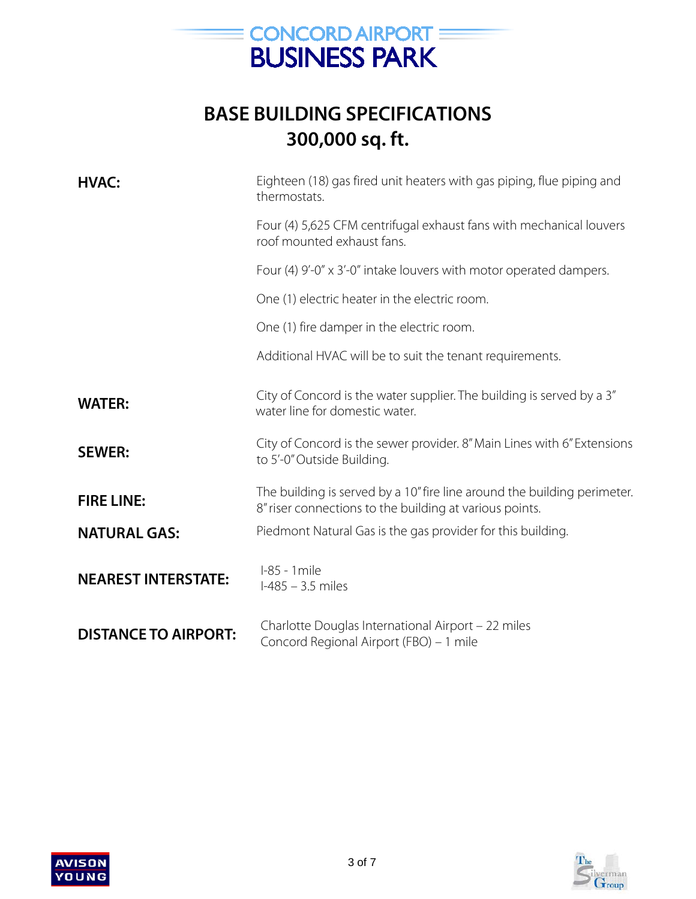

| <b>HVAC:</b>                | Eighteen (18) gas fired unit heaters with gas piping, flue piping and<br>thermostats.                                               |
|-----------------------------|-------------------------------------------------------------------------------------------------------------------------------------|
|                             | Four (4) 5,625 CFM centrifugal exhaust fans with mechanical louvers<br>roof mounted exhaust fans.                                   |
|                             | Four (4) 9'-0" x 3'-0" intake louvers with motor operated dampers.                                                                  |
|                             | One (1) electric heater in the electric room.                                                                                       |
|                             | One (1) fire damper in the electric room.                                                                                           |
|                             | Additional HVAC will be to suit the tenant requirements.                                                                            |
| <b>WATER:</b>               | City of Concord is the water supplier. The building is served by a 3"<br>water line for domestic water.                             |
| <b>SEWER:</b>               | City of Concord is the sewer provider. 8" Main Lines with 6" Extensions<br>to 5'-0" Outside Building.                               |
| <b>FIRE LINE:</b>           | The building is served by a 10" fire line around the building perimeter.<br>8" riser connections to the building at various points. |
| <b>NATURAL GAS:</b>         | Piedmont Natural Gas is the gas provider for this building.                                                                         |
| <b>NEAREST INTERSTATE:</b>  | I-85 - 1 mile<br>$1-485 - 3.5$ miles                                                                                                |
| <b>DISTANCE TO AIRPORT:</b> | Charlotte Douglas International Airport - 22 miles<br>Concord Regional Airport (FBO) - 1 mile                                       |

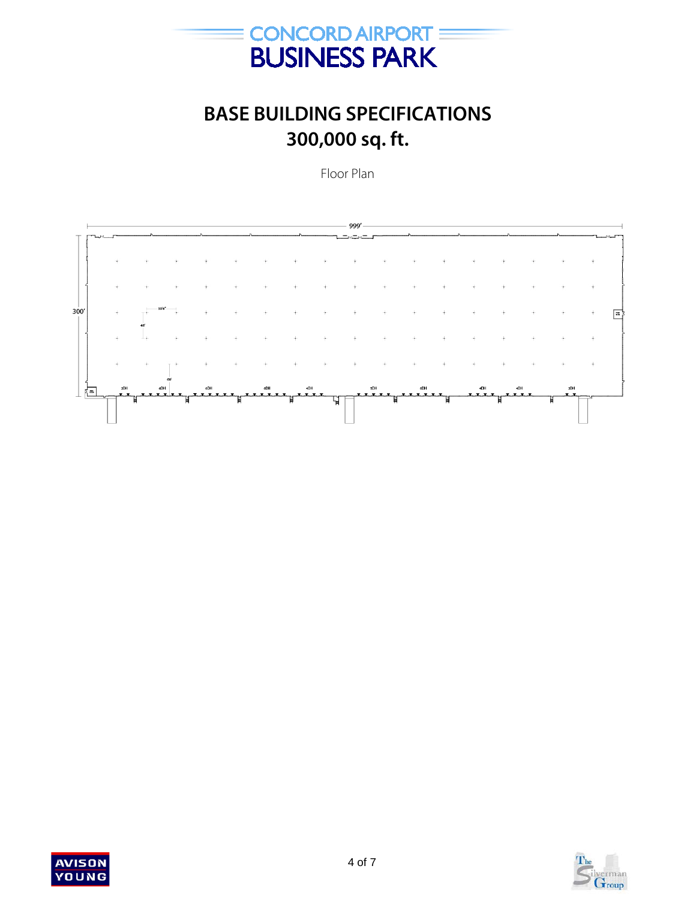

Floor Plan





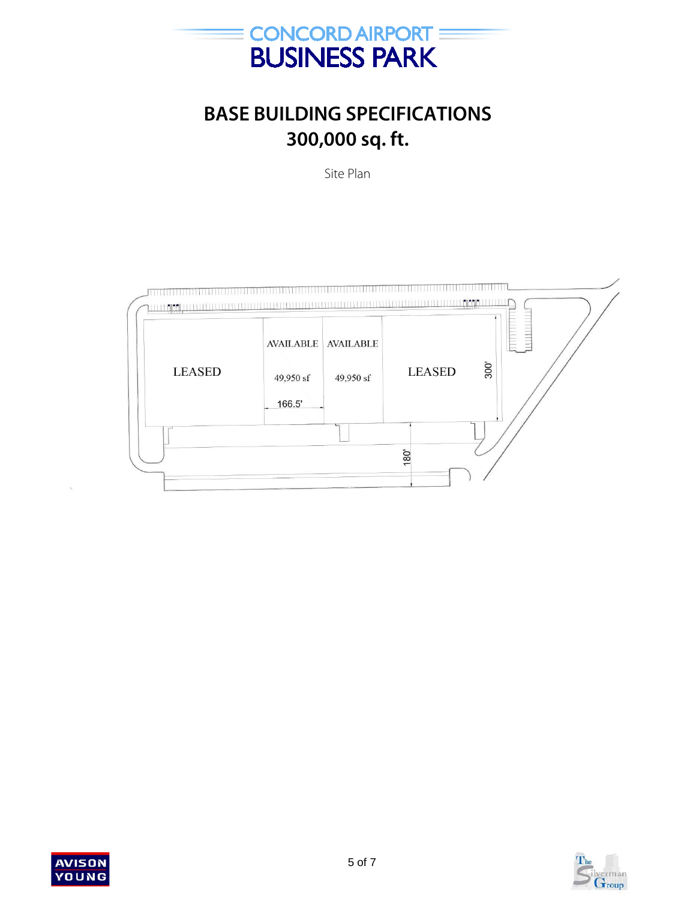

Site Plan





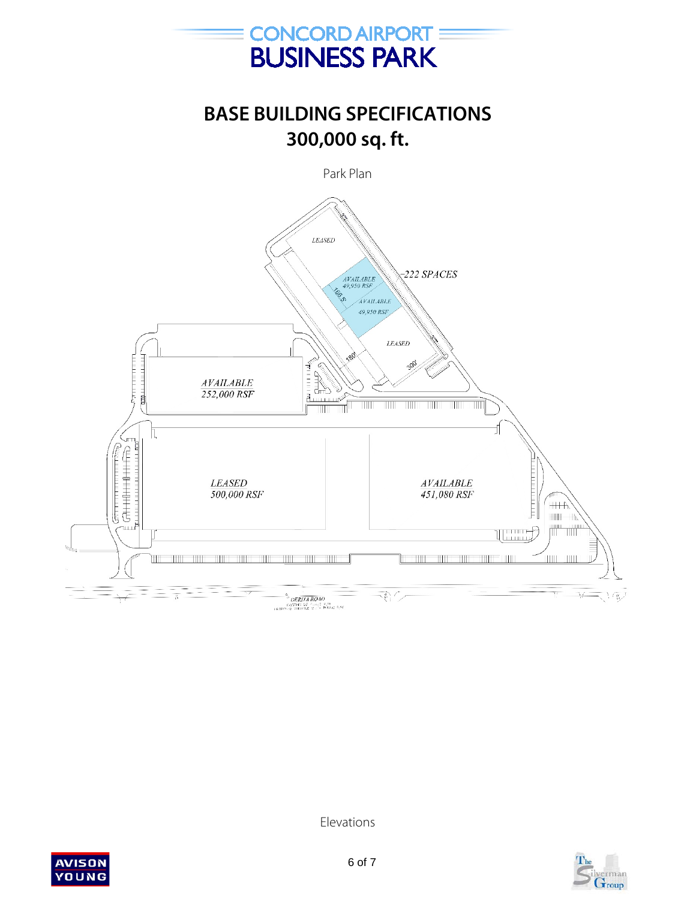



Elevations